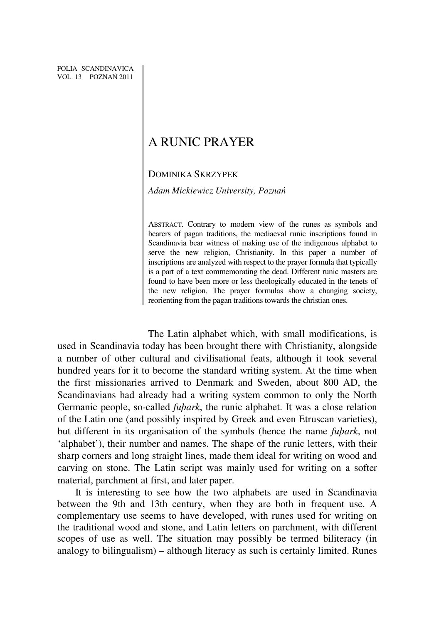# A RUNIC PRAYER

# DOMINIKA SKRZYPEK

*Adam Mickiewicz University, Pozna*ń

ABSTRACT. Contrary to modern view of the runes as symbols and bearers of pagan traditions, the mediaeval runic inscriptions found in Scandinavia bear witness of making use of the indigenous alphabet to serve the new religion, Christianity. In this paper a number of inscriptions are analyzed with respect to the prayer formula that typically is a part of a text commemorating the dead. Different runic masters are found to have been more or less theologically educated in the tenets of the new religion. The prayer formulas show a changing society, reorienting from the pagan traditions towards the christian ones.

The Latin alphabet which, with small modifications, is used in Scandinavia today has been brought there with Christianity, alongside a number of other cultural and civilisational feats, although it took several hundred years for it to become the standard writing system. At the time when the first missionaries arrived to Denmark and Sweden, about 800 AD, the Scandinavians had already had a writing system common to only the North Germanic people, so-called *fuþark*, the runic alphabet. It was a close relation of the Latin one (and possibly inspired by Greek and even Etruscan varieties), but different in its organisation of the symbols (hence the name *fuþark*, not 'alphabet'), their number and names. The shape of the runic letters, with their sharp corners and long straight lines, made them ideal for writing on wood and carving on stone. The Latin script was mainly used for writing on a softer material, parchment at first, and later paper.

It is interesting to see how the two alphabets are used in Scandinavia between the 9th and 13th century, when they are both in frequent use. A complementary use seems to have developed, with runes used for writing on the traditional wood and stone, and Latin letters on parchment, with different scopes of use as well. The situation may possibly be termed biliteracy (in analogy to bilingualism) – although literacy as such is certainly limited. Runes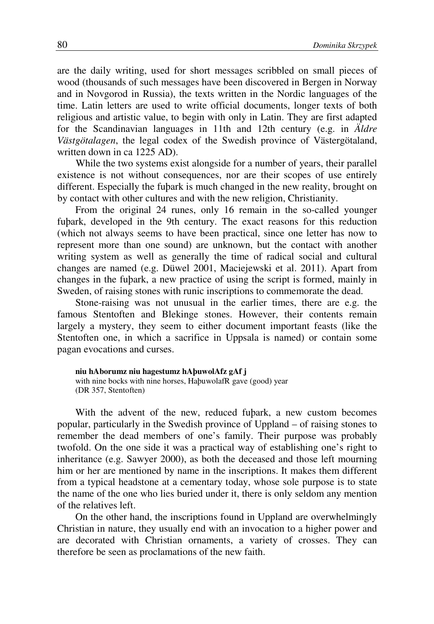are the daily writing, used for short messages scribbled on small pieces of wood (thousands of such messages have been discovered in Bergen in Norway and in Novgorod in Russia), the texts written in the Nordic languages of the time. Latin letters are used to write official documents, longer texts of both religious and artistic value, to begin with only in Latin. They are first adapted for the Scandinavian languages in 11th and 12th century (e.g. in *Äldre Västgötalagen*, the legal codex of the Swedish province of Västergötaland, written down in ca 1225 AD).

While the two systems exist alongside for a number of years, their parallel existence is not without consequences, nor are their scopes of use entirely different. Especially the fuþark is much changed in the new reality, brought on by contact with other cultures and with the new religion, Christianity.

From the original 24 runes, only 16 remain in the so-called younger fuþark, developed in the 9th century. The exact reasons for this reduction (which not always seems to have been practical, since one letter has now to represent more than one sound) are unknown, but the contact with another writing system as well as generally the time of radical social and cultural changes are named (e.g. Düwel 2001, Maciejewski et al. 2011). Apart from changes in the fuþark, a new practice of using the script is formed, mainly in Sweden, of raising stones with runic inscriptions to commemorate the dead.

Stone-raising was not unusual in the earlier times, there are e.g. the famous Stentoften and Blekinge stones. However, their contents remain largely a mystery, they seem to either document important feasts (like the Stentoften one, in which a sacrifice in Uppsala is named) or contain some pagan evocations and curses.

**niu hAborumz niu hagestumz hAþuwolAfz gAf j** with nine bocks with nine horses, HaþuwolafR gave (good) year (DR 357, Stentoften)

With the advent of the new, reduced fuþark, a new custom becomes popular, particularly in the Swedish province of Uppland – of raising stones to remember the dead members of one's family. Their purpose was probably twofold. On the one side it was a practical way of establishing one's right to inheritance (e.g. Sawyer 2000), as both the deceased and those left mourning him or her are mentioned by name in the inscriptions. It makes them different from a typical headstone at a cementary today, whose sole purpose is to state the name of the one who lies buried under it, there is only seldom any mention of the relatives left.

On the other hand, the inscriptions found in Uppland are overwhelmingly Christian in nature, they usually end with an invocation to a higher power and are decorated with Christian ornaments, a variety of crosses. They can therefore be seen as proclamations of the new faith.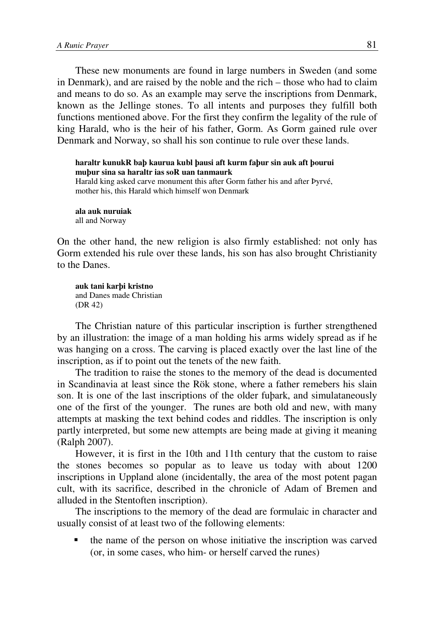These new monuments are found in large numbers in Sweden (and some in Denmark), and are raised by the noble and the rich – those who had to claim and means to do so. As an example may serve the inscriptions from Denmark, known as the Jellinge stones. To all intents and purposes they fulfill both functions mentioned above. For the first they confirm the legality of the rule of king Harald, who is the heir of his father, Gorm. As Gorm gained rule over Denmark and Norway, so shall his son continue to rule over these lands.

```
haraltr kunukR baþ kaurua kubl þausi aft kurm faþur sin auk aft þourui 
muþur sina sa haraltr ias soR uan tanmaurk
```
Harald king asked carve monument this after Gorm father his and after Þyrvé, mother his, this Harald which himself won Denmark

**ala auk nuruiak**  all and Norway

On the other hand, the new religion is also firmly established: not only has Gorm extended his rule over these lands, his son has also brought Christianity to the Danes.

**auk tani karþi kristno** and Danes made Christian (DR 42)

The Christian nature of this particular inscription is further strengthened by an illustration: the image of a man holding his arms widely spread as if he was hanging on a cross. The carving is placed exactly over the last line of the inscription, as if to point out the tenets of the new faith.

The tradition to raise the stones to the memory of the dead is documented in Scandinavia at least since the Rök stone, where a father remebers his slain son. It is one of the last inscriptions of the older fuþark, and simulataneously one of the first of the younger. The runes are both old and new, with many attempts at masking the text behind codes and riddles. The inscription is only partly interpreted, but some new attempts are being made at giving it meaning (Ralph 2007).

However, it is first in the 10th and 11th century that the custom to raise the stones becomes so popular as to leave us today with about 1200 inscriptions in Uppland alone (incidentally, the area of the most potent pagan cult, with its sacrifice, described in the chronicle of Adam of Bremen and alluded in the Stentoften inscription).

The inscriptions to the memory of the dead are formulaic in character and usually consist of at least two of the following elements:

 the name of the person on whose initiative the inscription was carved (or, in some cases, who him- or herself carved the runes)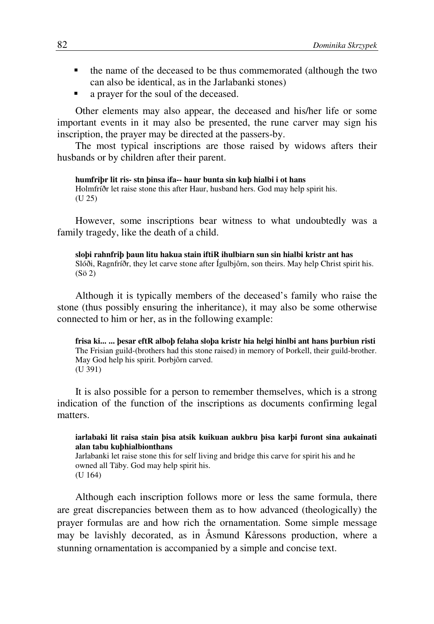- the name of the deceased to be thus commemorated (although the two can also be identical, as in the Jarlabanki stones)
- a prayer for the soul of the deceased.

Other elements may also appear, the deceased and his/her life or some important events in it may also be presented, the rune carver may sign his inscription, the prayer may be directed at the passers-by.

The most typical inscriptions are those raised by widows afters their husbands or by children after their parent.

**humfriþr lit ris- stn þinsa ifa-- haur bunta sin kuþ hialbi i ot hans**  Holmfríðr let raise stone this after Haur, husband hers. God may help spirit his. (U 25)

However, some inscriptions bear witness to what undoubtedly was a family tragedy, like the death of a child.

**sloþi rahnfriþ þaun litu hakua stain iftiR ihulbiarn sun sin hialbi kristr ant has**  Slóði, Ragnfríðr, they let carve stone after Ígulbjôrn, son theirs. May help Christ spirit his. (Sö 2)

Although it is typically members of the deceased's family who raise the stone (thus possibly ensuring the inheritance), it may also be some otherwise connected to him or her, as in the following example:

**frisa ki... ... þesar eftR alboþ felaha sloþa kristr hia helgi hinlbi ant hans þurbiun risti** The Frisian guild-(brothers had this stone raised) in memory of Þorkell, their guild-brother. May God help his spirit. Þorbjôrn carved. (U 391)

It is also possible for a person to remember themselves, which is a strong indication of the function of the inscriptions as documents confirming legal matters.

## **iarlabaki lit raisa stain þisa atsik kuikuan aukbru þisa karþi furont sina aukainati alan tabu kuþhialbionthans**

Jarlabanki let raise stone this for self living and bridge this carve for spirit his and he owned all Täby. God may help spirit his. (U 164)

Although each inscription follows more or less the same formula, there are great discrepancies between them as to how advanced (theologically) the prayer formulas are and how rich the ornamentation. Some simple message may be lavishly decorated, as in Åsmund Kåressons production, where a stunning ornamentation is accompanied by a simple and concise text.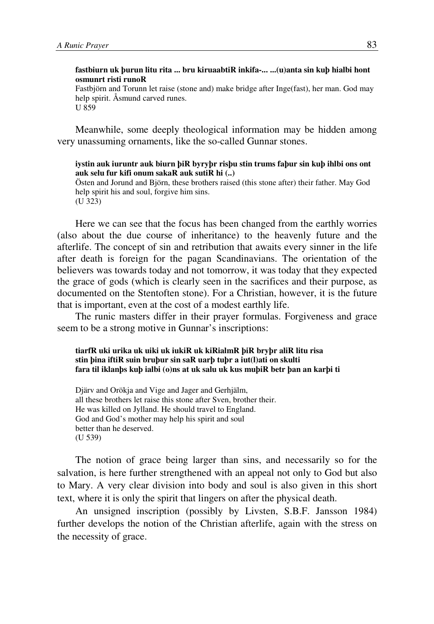# **fastbiurn uk þurun litu rita ... bru kiruaabtiR inkifa-... ...(u)anta sin kuþ hialbi hont osmunrt risti runoR**

Fastbjörn and Torunn let raise (stone and) make bridge after Inge(fast), her man. God may help spirit. Åsmund carved runes. U 859

Meanwhile, some deeply theological information may be hidden among very unassuming ornaments, like the so-called Gunnar stones.

# **iystin auk iuruntr auk biurn þiR byryþr risþu stin trums faþur sin kuþ ihlbi ons ont auk selu fur kifi onum sakaR auk sutiR hi (..)**

Östen and Jorund and Björn, these brothers raised (this stone after) their father. May God help spirit his and soul, forgive him sins. (U 323)

Here we can see that the focus has been changed from the earthly worries (also about the due course of inheritance) to the heavenly future and the afterlife. The concept of sin and retribution that awaits every sinner in the life after death is foreign for the pagan Scandinavians. The orientation of the believers was towards today and not tomorrow, it was today that they expected the grace of gods (which is clearly seen in the sacrifices and their purpose, as documented on the Stentoften stone). For a Christian, however, it is the future that is important, even at the cost of a modest earthly life.

The runic masters differ in their prayer formulas. Forgiveness and grace seem to be a strong motive in Gunnar's inscriptions:

#### **tiarfR uki urika uk uiki uk iukiR uk kiRialmR þiR bryþr aliR litu risa stin þina iftiR suin bruþur sin saR uarþ tuþr a iut(l)ati on skulti fara til iklanþs kuþ ialbi (o)ns at uk salu uk kus muþiR betr þan an karþi ti**

Djärv and Orökja and Vige and Jager and Gerhjälm, all these brothers let raise this stone after Sven, brother their. He was killed on Jylland. He should travel to England. God and God's mother may help his spirit and soul better than he deserved. (U 539)

The notion of grace being larger than sins, and necessarily so for the salvation, is here further strengthened with an appeal not only to God but also to Mary. A very clear division into body and soul is also given in this short text, where it is only the spirit that lingers on after the physical death.

An unsigned inscription (possibly by Livsten, S.B.F. Jansson 1984) further develops the notion of the Christian afterlife, again with the stress on the necessity of grace.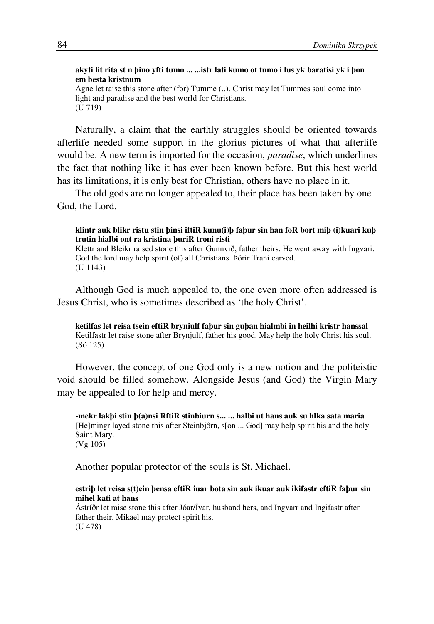# **akyti lit rita st n þino yfti tumo ... ...istr lati kumo ot tumo i lus yk baratisi yk i þon em besta kristnum**

Agne let raise this stone after (for) Tumme (..). Christ may let Tummes soul come into light and paradise and the best world for Christians. (U 719)

Naturally, a claim that the earthly struggles should be oriented towards afterlife needed some support in the glorius pictures of what that afterlife would be. A new term is imported for the occasion, *paradise*, which underlines the fact that nothing like it has ever been known before. But this best world has its limitations, it is only best for Christian, others have no place in it.

The old gods are no longer appealed to, their place has been taken by one God, the Lord.

#### **klintr auk blikr ristu stin þinsi iftiR kunu(i)þ faþur sin han foR bort miþ (i)kuari kuþ trutin hialbi ont ra kristina þuriR troni risti**

Klettr and Bleikr raised stone this after Gunnvið, father theirs. He went away with Ingvari. God the lord may help spirit (of) all Christians. Þórir Trani carved. (U 1143)

Although God is much appealed to, the one even more often addressed is Jesus Christ, who is sometimes described as 'the holy Christ'.

**ketilfas let reisa tsein eftiR bryniulf faþur sin guþan hialmbi in heilhi kristr hanssal**  Ketilfastr let raise stone after Brynjulf, father his good. May help the holy Christ his soul. (Sö 125)

However, the concept of one God only is a new notion and the politeistic void should be filled somehow. Alongside Jesus (and God) the Virgin Mary may be appealed to for help and mercy.

**-mekr lakþi stin þ(a)nsi RftiR stinbiurn s... ... halbi ut hans auk su hlka sata maria** [He]mingr layed stone this after Steinbjôrn, s[on ... God] may help spirit his and the holy Saint Mary. (Vg 105)

Another popular protector of the souls is St. Michael.

### **estriþ let reisa s(t)ein þensa eftiR iuar bota sin auk ikuar auk ikifastr eftiR faþur sin mihel kati at hans**

Ástríðr let raise stone this after Jóar/Ívar, husband hers, and Ingvarr and Ingifastr after father their. Mikael may protect spirit his. (U 478)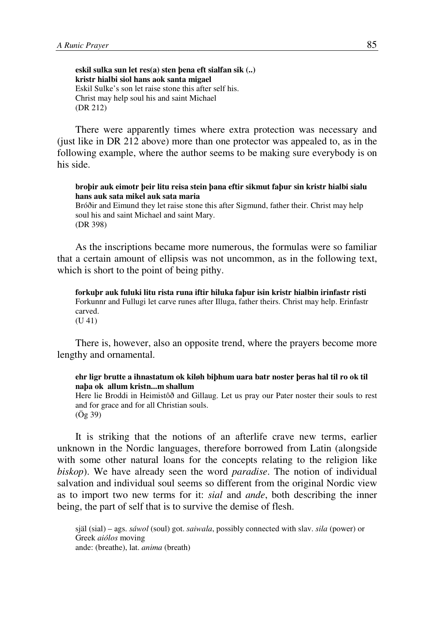**eskil sulka sun let res(a) sten þena eft sialfan sik (..) kristr hialbi siol hans aok santa migael**  Eskil Sulke's son let raise stone this after self his. Christ may help soul his and saint Michael (DR 212)

There were apparently times where extra protection was necessary and (just like in DR 212 above) more than one protector was appealed to, as in the following example, where the author seems to be making sure everybody is on his side.

#### **broþir auk eimotr þeir litu reisa stein þana eftir sikmut faþur sin kristr hialbi sialu hans auk sata mikel auk sata maria**

Bróðir and Eimund they let raise stone this after Sigmund, father their. Christ may help soul his and saint Michael and saint Mary. (DR 398)

As the inscriptions became more numerous, the formulas were so familiar that a certain amount of ellipsis was not uncommon, as in the following text, which is short to the point of being pithy.

**forkuþr auk fuluki litu rista runa iftir hiluka faþur isin kristr hialbin irinfastr risti**  Forkunnr and Fullugi let carve runes after Illuga, father theirs. Christ may help. Erinfastr carved. (U 41)

There is, however, also an opposite trend, where the prayers become more lengthy and ornamental.

# **ehr ligr brutte a ihnastatum ok kiløh biþhum uara batr noster þeras hal til ro ok til naþa ok allum kristn...m shallum**

Here lie Broddi in Heimistôð and Gillaug. Let us pray our Pater noster their souls to rest and for grace and for all Christian souls. (Ög 39)

It is striking that the notions of an afterlife crave new terms, earlier unknown in the Nordic languages, therefore borrowed from Latin (alongside with some other natural loans for the concepts relating to the religion like *biskop*). We have already seen the word *paradise*. The notion of individual salvation and individual soul seems so different from the original Nordic view as to import two new terms for it: *sial* and *ande*, both describing the inner being, the part of self that is to survive the demise of flesh.

själ (sial) – ags. *sáwol* (soul) got. *saiwala*, possibly connected with slav. *sila* (power) or Greek *aiólos* moving ande: (breathe), lat. *anima* (breath)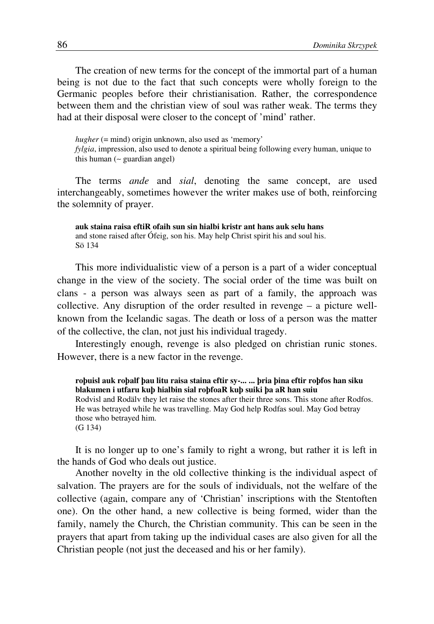The creation of new terms for the concept of the immortal part of a human being is not due to the fact that such concepts were wholly foreign to the Germanic peoples before their christianisation. Rather, the correspondence between them and the christian view of soul was rather weak. The terms they had at their disposal were closer to the concept of 'mind' rather.

*hugher* (= mind) origin unknown, also used as 'memory' *fylgia*, impression, also used to denote a spiritual being following every human, unique to this human (∼ guardian angel)

The terms *ande* and *sial*, denoting the same concept, are used interchangeably, sometimes however the writer makes use of both, reinforcing the solemnity of prayer.

**auk staina raisa eftiR ofaih sun sin hialbi kristr ant hans auk selu hans**  and stone raised after Ófeig, son his. May help Christ spirit his and soul his. Sö 134

This more individualistic view of a person is a part of a wider conceptual change in the view of the society. The social order of the time was built on clans - a person was always seen as part of a family, the approach was collective. Any disruption of the order resulted in revenge – a picture wellknown from the Icelandic sagas. The death or loss of a person was the matter of the collective, the clan, not just his individual tragedy.

Interestingly enough, revenge is also pledged on christian runic stones. However, there is a new factor in the revenge.

**roþuisl auk roþalf þau litu raisa staina eftir sy-... ... þria þina eftir roþfos han siku blakumen i utfaru kuþ hialbin sial roþfoaR kuþ suiki þa aR han suiu**  Rodvisl and Rodälv they let raise the stones after their three sons. This stone after Rodfos. He was betrayed while he was travelling. May God help Rodfas soul. May God betray those who betrayed him. (G 134)

It is no longer up to one's family to right a wrong, but rather it is left in the hands of God who deals out justice.

Another novelty in the old collective thinking is the individual aspect of salvation. The prayers are for the souls of individuals, not the welfare of the collective (again, compare any of 'Christian' inscriptions with the Stentoften one). On the other hand, a new collective is being formed, wider than the family, namely the Church, the Christian community. This can be seen in the prayers that apart from taking up the individual cases are also given for all the Christian people (not just the deceased and his or her family).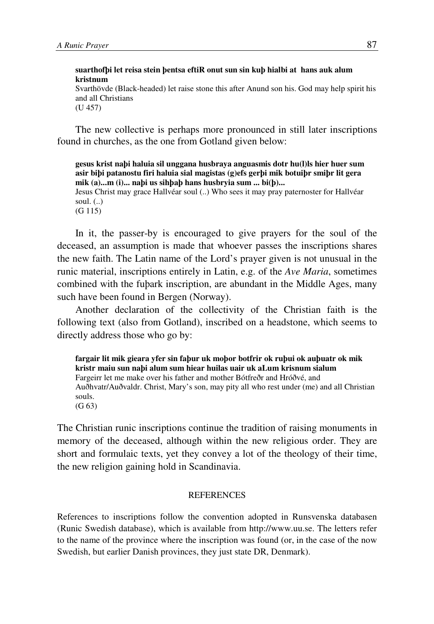**suarthofþi let reisa stein þentsa eftiR onut sun sin kuþ hialbi at hans auk alum kristnum** 

Svarthövde (Black-headed) let raise stone this after Anund son his. God may help spirit his and all Christians (U 457)

The new collective is perhaps more pronounced in still later inscriptions found in churches, as the one from Gotland given below:

**gesus krist naþi haluia sil unggana husbraya anguasmis dotr hu(l)ls hier huer sum asir biþi patanostu firi haluia sial magistas (g)efs gerþi mik botuiþr smiþr lit gera mik (a)...m (i)... naþi us sihþaþ hans husbryia sum ... bi(þ)...** Jesus Christ may grace Hallvéar soul (..) Who sees it may pray paternoster for Hallvéar soul.  $(.)$ (G 115)

In it, the passer-by is encouraged to give prayers for the soul of the deceased, an assumption is made that whoever passes the inscriptions shares the new faith. The Latin name of the Lord's prayer given is not unusual in the runic material, inscriptions entirely in Latin, e.g. of the *Ave Maria*, sometimes combined with the fuþark inscription, are abundant in the Middle Ages, many such have been found in Bergen (Norway).

Another declaration of the collectivity of the Christian faith is the following text (also from Gotland), inscribed on a headstone, which seems to directly address those who go by:

**fargair lit mik gieara yfer sin faþur uk moþor botfrir ok ruþui ok auþuatr ok mik kristr maiu sun naþi alum sum hiear huilas uair uk aLum krisnum sialum**  Fargeirr let me make over his father and mother Bótfreðr and Hróðvé, and Auðhvatr/Auðvaldr. Christ, Mary's son, may pity all who rest under (me) and all Christian souls.  $(G 63)$ 

The Christian runic inscriptions continue the tradition of raising monuments in memory of the deceased, although within the new religious order. They are short and formulaic texts, yet they convey a lot of the theology of their time, the new religion gaining hold in Scandinavia.

#### **REFERENCES**

References to inscriptions follow the convention adopted in Runsvenska databasen (Runic Swedish database), which is available from http://www.uu.se. The letters refer to the name of the province where the inscription was found (or, in the case of the now Swedish, but earlier Danish provinces, they just state DR, Denmark).